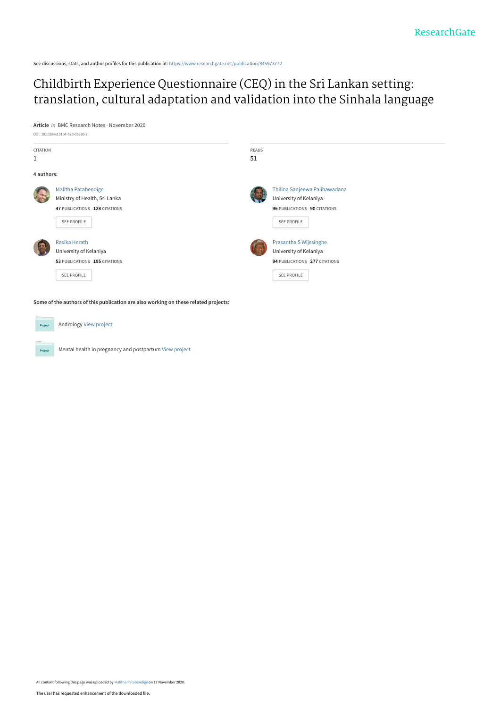See discussions, stats, and author profiles for this publication at: [https://www.researchgate.net/publication/345973772](https://www.researchgate.net/publication/345973772_Childbirth_Experience_Questionnaire_CEQ_in_the_Sri_Lankan_setting_translation_cultural_adaptation_and_validation_into_the_Sinhala_language?enrichId=rgreq-36cb80fefadf33225fa8494e5419d3ff-XXX&enrichSource=Y292ZXJQYWdlOzM0NTk3Mzc3MjtBUzo5NTg3Mzk2NTgwNDc0ODlAMTYwNTU5Mjc1NTMyMQ%3D%3D&el=1_x_2&_esc=publicationCoverPdf)

## Childbirth Experience Questionnaire (CEQ) in the Sri Lankan setting: [translation, cultural adaptation and validation into the Sinhala language](https://www.researchgate.net/publication/345973772_Childbirth_Experience_Questionnaire_CEQ_in_the_Sri_Lankan_setting_translation_cultural_adaptation_and_validation_into_the_Sinhala_language?enrichId=rgreq-36cb80fefadf33225fa8494e5419d3ff-XXX&enrichSource=Y292ZXJQYWdlOzM0NTk3Mzc3MjtBUzo5NTg3Mzk2NTgwNDc0ODlAMTYwNTU5Mjc1NTMyMQ%3D%3D&el=1_x_3&_esc=publicationCoverPdf)

**Article** in BMC Research Notes · November 2020



Andrology [View project](https://www.researchgate.net/project/Andrology-5?enrichId=rgreq-36cb80fefadf33225fa8494e5419d3ff-XXX&enrichSource=Y292ZXJQYWdlOzM0NTk3Mzc3MjtBUzo5NTg3Mzk2NTgwNDc0ODlAMTYwNTU5Mjc1NTMyMQ%3D%3D&el=1_x_9&_esc=publicationCoverPdf)

 $Pro$ 

Project

Mental health in pregnancy and postpartum [View project](https://www.researchgate.net/project/Mental-health-in-pregnancy-and-postpartum?enrichId=rgreq-36cb80fefadf33225fa8494e5419d3ff-XXX&enrichSource=Y292ZXJQYWdlOzM0NTk3Mzc3MjtBUzo5NTg3Mzk2NTgwNDc0ODlAMTYwNTU5Mjc1NTMyMQ%3D%3D&el=1_x_9&_esc=publicationCoverPdf)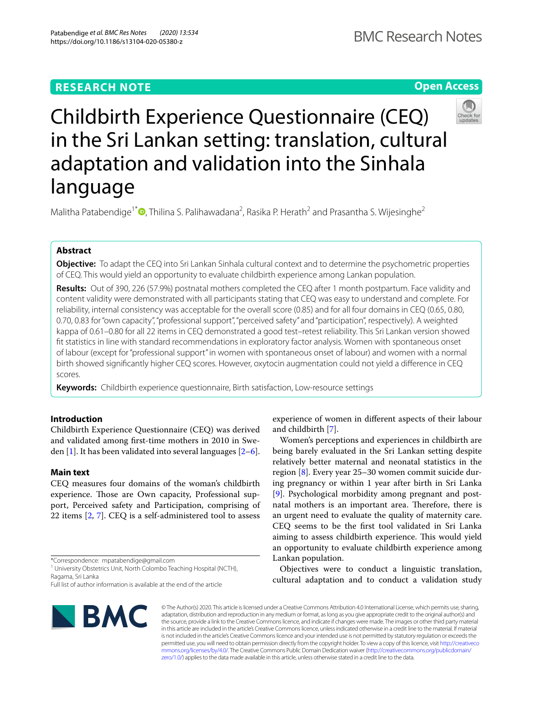## **RESEARCH NOTE**

**Open Access**

# Childbirth Experience Questionnaire (CEQ) in the Sri Lankan setting: translation, cultural adaptation and validation into the Sinhala language

Malitha Patabendige<sup>1\*</sup><sup>®</sup>[,](http://orcid.org/0000-0002-4092-7092) Thilina S. Palihawadana<sup>2</sup>, Rasika P. Herath<sup>2</sup> and Prasantha S. Wijesinghe<sup>2</sup>

### **Abstract**

**Objective:** To adapt the CEQ into Sri Lankan Sinhala cultural context and to determine the psychometric properties of CEQ. This would yield an opportunity to evaluate childbirth experience among Lankan population.

**Results:** Out of 390, 226 (57.9%) postnatal mothers completed the CEQ after 1 month postpartum. Face validity and content validity were demonstrated with all participants stating that CEQ was easy to understand and complete. For reliability, internal consistency was acceptable for the overall score (0.85) and for all four domains in CEQ (0.65, 0.80, 0.70, 0.83 for "own capacity", "professional support", "perceived safety" and "participation", respectively). A weighted kappa of 0.61–0.80 for all 22 items in CEQ demonstrated a good test–retest reliability. This Sri Lankan version showed ft statistics in line with standard recommendations in exploratory factor analysis. Women with spontaneous onset of labour (except for "professional support" in women with spontaneous onset of labour) and women with a normal birth showed signifcantly higher CEQ scores. However, oxytocin augmentation could not yield a diference in CEQ scores.

**Keywords:** Childbirth experience questionnaire, Birth satisfaction, Low-resource settings

#### **Introduction**

Childbirth Experience Questionnaire (CEQ) was derived and validated among frst-time mothers in 2010 in Sweden  $[1]$  $[1]$ . It has been validated into several languages  $[2-6]$  $[2-6]$ .

#### **Main text**

CEQ measures four domains of the woman's childbirth experience. Those are Own capacity, Professional support, Perceived safety and Participation, comprising of 22 items [[2,](#page-6-1) [7](#page-6-3)]. CEQ is a self-administered tool to assess

Full list of author information is available at the end of the article



experience of women in diferent aspects of their labour and childbirth [\[7](#page-6-3)].

Women's perceptions and experiences in childbirth are being barely evaluated in the Sri Lankan setting despite relatively better maternal and neonatal statistics in the region [[8\]](#page-6-4). Every year 25–30 women commit suicide during pregnancy or within 1 year after birth in Sri Lanka [[9\]](#page-6-5). Psychological morbidity among pregnant and postnatal mothers is an important area. Therefore, there is an urgent need to evaluate the quality of maternity care. CEQ seems to be the frst tool validated in Sri Lanka aiming to assess childbirth experience. This would yield an opportunity to evaluate childbirth experience among Lankan population.

Objectives were to conduct a linguistic translation, cultural adaptation and to conduct a validation study

© The Author(s) 2020. This article is licensed under a Creative Commons Attribution 4.0 International License, which permits use, sharing, adaptation, distribution and reproduction in any medium or format, as long as you give appropriate credit to the original author(s) and the source, provide a link to the Creative Commons licence, and indicate if changes were made. The images or other third party material in this article are included in the article's Creative Commons licence, unless indicated otherwise in a credit line to the material. If material is not included in the article's Creative Commons licence and your intended use is not permitted by statutory regulation or exceeds the permitted use, you will need to obtain permission directly from the copyright holder. To view a copy of this licence, visit [http://creativeco](http://creativecommons.org/licenses/by/4.0/) [mmons.org/licenses/by/4.0/.](http://creativecommons.org/licenses/by/4.0/) The Creative Commons Public Domain Dedication waiver ([http://creativecommons.org/publicdomain/](http://creativecommons.org/publicdomain/zero/1.0/) [zero/1.0/\)](http://creativecommons.org/publicdomain/zero/1.0/) applies to the data made available in this article, unless otherwise stated in a credit line to the data.

<sup>\*</sup>Correspondence: mpatabendige@gmail.com

<sup>&</sup>lt;sup>1</sup> University Obstetrics Unit, North Colombo Teaching Hospital (NCTH), Ragama, Sri Lanka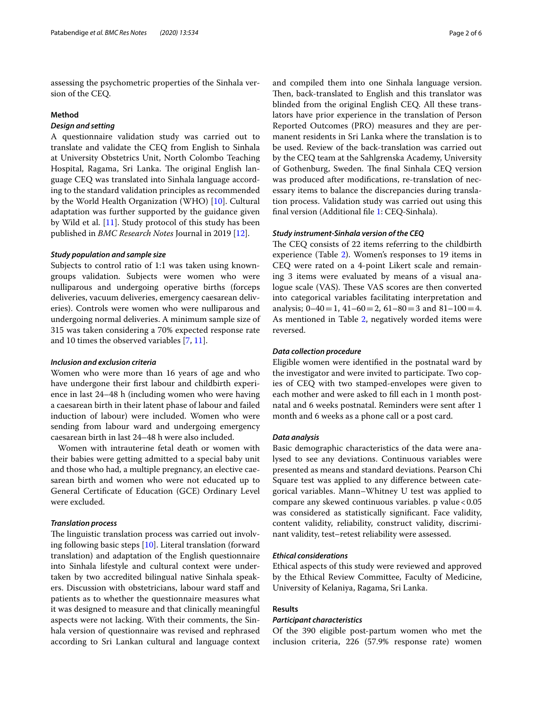assessing the psychometric properties of the Sinhala version of the CEQ.

#### **Method**

#### *Design and setting*

A questionnaire validation study was carried out to translate and validate the CEQ from English to Sinhala at University Obstetrics Unit, North Colombo Teaching Hospital, Ragama, Sri Lanka. The original English language CEQ was translated into Sinhala language according to the standard validation principles as recommended by the World Health Organization (WHO) [[10\]](#page-6-6). Cultural adaptation was further supported by the guidance given by Wild et al. [\[11](#page-6-7)]. Study protocol of this study has been published in *BMC Research Notes* Journal in 2019 [[12\]](#page-6-8).

#### *Study population and sample size*

Subjects to control ratio of 1:1 was taken using knowngroups validation. Subjects were women who were nulliparous and undergoing operative births (forceps deliveries, vacuum deliveries, emergency caesarean deliveries). Controls were women who were nulliparous and undergoing normal deliveries. A minimum sample size of 315 was taken considering a 70% expected response rate and 10 times the observed variables [\[7](#page-6-3), [11\]](#page-6-7).

#### *Inclusion and exclusion criteria*

Women who were more than 16 years of age and who have undergone their frst labour and childbirth experience in last 24–48 h (including women who were having a caesarean birth in their latent phase of labour and failed induction of labour) were included. Women who were sending from labour ward and undergoing emergency caesarean birth in last 24–48 h were also included.

Women with intrauterine fetal death or women with their babies were getting admitted to a special baby unit and those who had, a multiple pregnancy, an elective caesarean birth and women who were not educated up to General Certifcate of Education (GCE) Ordinary Level were excluded.

#### *Translation process*

The linguistic translation process was carried out involving following basic steps [[10](#page-6-6)]. Literal translation (forward translation) and adaptation of the English questionnaire into Sinhala lifestyle and cultural context were undertaken by two accredited bilingual native Sinhala speakers. Discussion with obstetricians, labour ward staf and patients as to whether the questionnaire measures what it was designed to measure and that clinically meaningful aspects were not lacking. With their comments, the Sinhala version of questionnaire was revised and rephrased according to Sri Lankan cultural and language context and compiled them into one Sinhala language version. Then, back-translated to English and this translator was blinded from the original English CEQ. All these translators have prior experience in the translation of Person Reported Outcomes (PRO) measures and they are permanent residents in Sri Lanka where the translation is to be used. Review of the back-translation was carried out by the CEQ team at the Sahlgrenska Academy, University of Gothenburg, Sweden. The final Sinhala CEQ version was produced after modifcations, re-translation of necessary items to balance the discrepancies during translation process. Validation study was carried out using this fnal version (Additional fle [1:](#page-5-0) CEQ-Sinhala).

#### *Study instrument‑Sinhala version of the CEQ*

The CEQ consists of 22 items referring to the childbirth experience (Table [2](#page-4-0)). Women's responses to 19 items in CEQ were rated on a 4-point Likert scale and remaining 3 items were evaluated by means of a visual analogue scale (VAS). These VAS scores are then converted into categorical variables facilitating interpretation and analysis;  $0-40=1$ ,  $41-60=2$ ,  $61-80=3$  and  $81-100=4$ . As mentioned in Table [2,](#page-4-0) negatively worded items were reversed.

#### *Data collection procedure*

Eligible women were identifed in the postnatal ward by the investigator and were invited to participate. Two copies of CEQ with two stamped-envelopes were given to each mother and were asked to fll each in 1 month postnatal and 6 weeks postnatal. Reminders were sent after 1 month and 6 weeks as a phone call or a post card.

#### *Data analysis*

Basic demographic characteristics of the data were analysed to see any deviations. Continuous variables were presented as means and standard deviations. Pearson Chi Square test was applied to any diference between categorical variables. Mann–Whitney U test was applied to compare any skewed continuous variables.  $p$  value < 0.05 was considered as statistically signifcant. Face validity, content validity, reliability, construct validity, discriminant validity, test–retest reliability were assessed.

#### *Ethical considerations*

Ethical aspects of this study were reviewed and approved by the Ethical Review Committee, Faculty of Medicine, University of Kelaniya, Ragama, Sri Lanka.

#### **Results**

#### *Participant characteristics*

Of the 390 eligible post-partum women who met the inclusion criteria, 226 (57.9% response rate) women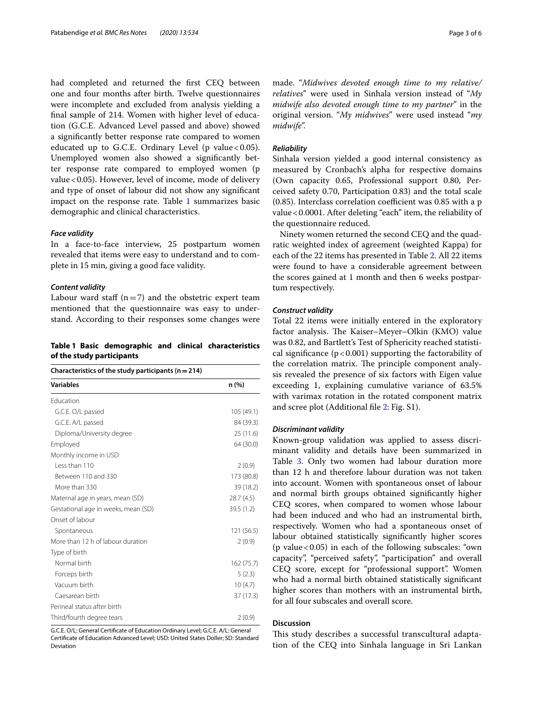had completed and returned the frst CEQ between one and four months after birth. Twelve questionnaires were incomplete and excluded from analysis yielding a fnal sample of 214. Women with higher level of education (G.C.E. Advanced Level passed and above) showed a signifcantly better response rate compared to women educated up to G.C.E. Ordinary Level (p value <  $0.05$ ). Unemployed women also showed a signifcantly better response rate compared to employed women (p value < 0.05). However, level of income, mode of delivery and type of onset of labour did not show any signifcant impact on the response rate. Table [1](#page-3-0) summarizes basic demographic and clinical characteristics.

#### *Face validity*

In a face-to-face interview, 25 postpartum women revealed that items were easy to understand and to complete in 15 min, giving a good face validity.

#### *Content validity*

Labour ward staff  $(n=7)$  and the obstetric expert team mentioned that the questionnaire was easy to understand. According to their responses some changes were

#### <span id="page-3-0"></span>**Table 1 Basic demographic and clinical characteristics of the study participants**

| Characteristics of the study participants ( $n = 214$ ) |            |  |  |  |
|---------------------------------------------------------|------------|--|--|--|
| <b>Variables</b>                                        | n (%)      |  |  |  |
| <b>Education</b>                                        |            |  |  |  |
| G.C.E. O/L passed                                       | 105 (49.1) |  |  |  |
| G.C.E. A/L passed                                       | 84 (39.3)  |  |  |  |
| Diploma/University degree                               | 25(11.6)   |  |  |  |
| Employed                                                | 64 (30.0)  |  |  |  |
| Monthly income in USD                                   |            |  |  |  |
| Less than 110                                           | 2(0.9)     |  |  |  |
| Between 110 and 330                                     | 173 (80.8) |  |  |  |
| More than 330                                           | 39 (18.2)  |  |  |  |
| Maternal age in years, mean (SD)                        | 28.7(4.5)  |  |  |  |
| Gestational age in weeks, mean (SD)                     | 39.5 (1.2) |  |  |  |
| Onset of labour                                         |            |  |  |  |
| Spontaneous                                             | 121 (56.5) |  |  |  |
| More than 12 h of labour duration                       | 2(0.9)     |  |  |  |
| Type of birth                                           |            |  |  |  |
| Normal birth                                            | 162 (75.7) |  |  |  |
| Forceps birth                                           | 5(2.3)     |  |  |  |
| Vacuum birth                                            | 10(4.7)    |  |  |  |
| Caesarean birth                                         | 37 (17.3)  |  |  |  |
| Perineal status after birth                             |            |  |  |  |
| Third/fourth degree tears                               | 2(0.9)     |  |  |  |

G.C.E. O/L: General Certifcate of Education Ordinary Level; G.C.E. A/L: General Certifcate of Education Advanced Level; USD: United States Doller; SD: Standard Deviation

made. "*Midwives devoted enough time to my relative/ relatives*" were used in Sinhala version instead of "*My midwife also devoted enough time to my partner*" in the original version. "*My midwives*" were used instead "*my midwife*".

#### *Reliability*

Sinhala version yielded a good internal consistency as measured by Cronbach's alpha for respective domains (Own capacity 0.65, Professional support 0.80, Perceived safety 0.70, Participation 0.83) and the total scale  $(0.85)$ . Interclass correlation coefficient was  $0.85$  with a p value<0.0001. After deleting "each" item, the reliability of the questionnaire reduced.

Ninety women returned the second CEQ and the quadratic weighted index of agreement (weighted Kappa) for each of the 22 items has presented in Table [2.](#page-4-0) All 22 items were found to have a considerable agreement between the scores gained at 1 month and then 6 weeks postpartum respectively.

#### *Construct validity*

Total 22 items were initially entered in the exploratory factor analysis. The Kaiser-Meyer-Olkin (KMO) value was 0.82, and Bartlett's Test of Sphericity reached statistical significance ( $p < 0.001$ ) supporting the factorability of the correlation matrix. The principle component analysis revealed the presence of six factors with Eigen value exceeding 1, explaining cumulative variance of 63.5% with varimax rotation in the rotated component matrix and scree plot (Additional fle [2:](#page-5-1) Fig. S1).

#### *Discriminant validity*

Known-group validation was applied to assess discriminant validity and details have been summarized in Table [3.](#page-4-1) Only two women had labour duration more than 12 h and therefore labour duration was not taken into account. Women with spontaneous onset of labour and normal birth groups obtained signifcantly higher CEQ scores, when compared to women whose labour had been induced and who had an instrumental birth, respectively. Women who had a spontaneous onset of labour obtained statistically signifcantly higher scores (p value  $<0.05$ ) in each of the following subscales: "own capacity", "perceived safety", "participation" and overall CEQ score, except for "professional support". Women who had a normal birth obtained statistically signifcant higher scores than mothers with an instrumental birth, for all four subscales and overall score.

#### **Discussion**

This study describes a successful transcultural adaptation of the CEQ into Sinhala language in Sri Lankan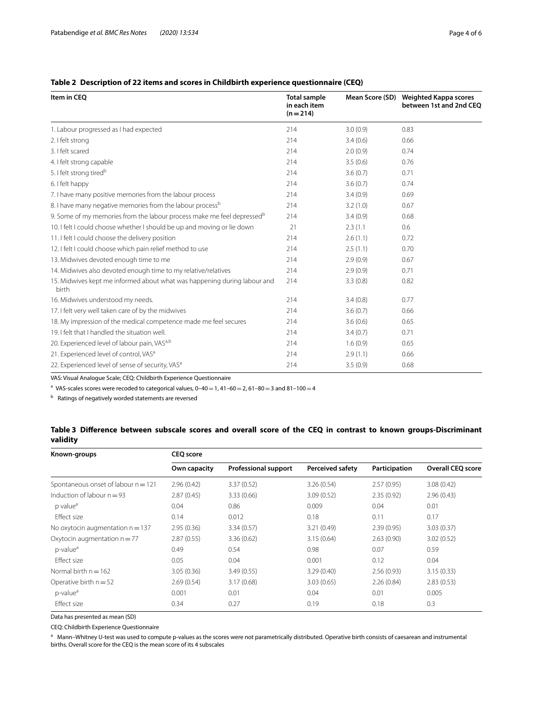#### <span id="page-4-0"></span>**Table 2 Description of 22 items and scores in Childbirth experience questionnaire (CEQ)**

| Item in CEO                                                                        | <b>Total sample</b><br>in each item<br>$(n=214)$ | Mean Score (SD) | Weighted Kappa scores<br>between 1st and 2nd CEO |  |
|------------------------------------------------------------------------------------|--------------------------------------------------|-----------------|--------------------------------------------------|--|
| 1. Labour progressed as I had expected                                             | 214                                              | 3.0(0.9)        | 0.83                                             |  |
| 2. I felt strong                                                                   | 214                                              | 3.4(0.6)        | 0.66                                             |  |
| 3. I felt scared                                                                   | 214                                              | 2.0(0.9)        | 0.74                                             |  |
| 4. I felt strong capable                                                           | 214                                              | 3.5(0.6)        | 0.76                                             |  |
| 5. I felt strong tired <sup>b</sup>                                                | 214                                              | 3.6(0.7)        | 0.71                                             |  |
| 6. I felt happy                                                                    | 214                                              | 3.6(0.7)        | 0.74                                             |  |
| 7. I have many positive memories from the labour process                           | 214                                              | 3.4(0.9)        | 0.69                                             |  |
| 8. I have many negative memories from the labour process <sup>b</sup>              | 214                                              | 3.2(1.0)        | 0.67                                             |  |
| 9. Some of my memories from the labour process make me feel depressed <sup>b</sup> | 214                                              | 3.4(0.9)        | 0.68                                             |  |
| 10. I felt I could choose whether I should be up and moving or lie down            | 21                                               | 2.3(1.1)        | 0.6                                              |  |
| 11. I felt I could choose the delivery position                                    | 214                                              | 2.6(1.1)        | 0.72                                             |  |
| 12. I felt I could choose which pain relief method to use                          | 214                                              | 2.5(1.1)        | 0.70                                             |  |
| 13. Midwives devoted enough time to me                                             | 214                                              | 2.9(0.9)        | 0.67                                             |  |
| 14. Midwives also devoted enough time to my relative/relatives                     | 214                                              | 2.9(0.9)        | 0.71                                             |  |
| 15. Midwives kept me informed about what was happening during labour and<br>birth  | 214                                              | 3.3(0.8)        | 0.82                                             |  |
| 16. Midwives understood my needs.                                                  | 214                                              | 3.4(0.8)        | 0.77                                             |  |
| 17. I felt very well taken care of by the midwives                                 | 214                                              | 3.6(0.7)        | 0.66                                             |  |
| 18. My impression of the medical competence made me feel secures                   | 214                                              | 3.6(0.6)        | 0.65                                             |  |
| 19. I felt that I handled the situation well.                                      | 214                                              | 3.4(0.7)        | 0.71                                             |  |
| 20. Experienced level of labour pain, VAS <sup>a,b</sup>                           | 214                                              | 1.6(0.9)        | 0.65                                             |  |
| 21. Experienced level of control, VAS <sup>a</sup>                                 | 214                                              | 2.9(1.1)        | 0.66                                             |  |
| 22. Experienced level of sense of security, VAS <sup>a</sup>                       | 214                                              | 3.5(0.9)        | 0.68                                             |  |

VAS: Visual Analogue Scale; CEQ: Childbirth Experience Questionnaire

<sup>a</sup> VAS-scales scores were recoded to categorical values,  $0-40=1$ ,  $41-60=2$ ,  $61-80=3$  and  $81-100=4$ 

 $<sup>b</sup>$  Ratings of negatively worded statements are reversed</sup>

#### <span id="page-4-1"></span>**Table 3 Diference between subscale scores and overall score of the CEQ in contrast to known groups-Discriminant validity**

| Known-groups                          | <b>CEQ</b> score |                             |                         |               |                          |  |
|---------------------------------------|------------------|-----------------------------|-------------------------|---------------|--------------------------|--|
|                                       | Own capacity     | <b>Professional support</b> | <b>Perceived safety</b> | Participation | <b>Overall CEO score</b> |  |
| Spontaneous onset of labour $n = 121$ | 2.96(0.42)       | 3.37(0.52)                  | 3.26(0.54)              | 2.57(0.95)    | 3.08(0.42)               |  |
| Induction of labour $n = 93$          | 2.87(0.45)       | 3.33(0.66)                  | 3.09(0.52)              | 2.35(0.92)    | 2.96(0.43)               |  |
| p value <sup>a</sup>                  | 0.04             | 0.86                        | 0.009                   | 0.04          | 0.01                     |  |
| Effect size                           | 0.14             | 0.012                       | 0.18                    | 0.11          | 0.17                     |  |
| No oxytocin augmentation $n = 137$    | 2.95(0.36)       | 3.34(0.57)                  | 3.21(0.49)              | 2.39(0.95)    | 3.03(0.37)               |  |
| Oxytocin augmentation $n = 77$        | 2.87(0.55)       | 3.36(0.62)                  | 3.15(0.64)              | 2.63(0.90)    | 3.02(0.52)               |  |
| p-value <sup>a</sup>                  | 0.49             | 0.54                        | 0.98                    | 0.07          | 0.59                     |  |
| Effect size                           | 0.05             | 0.04                        | 0.001                   | 0.12          | 0.04                     |  |
| Normal birth $n = 162$                | 3.05(0.36)       | 3.49(0.55)                  | 3.29(0.40)              | 2.56(0.93)    | 3.15(0.33)               |  |
| Operative birth $n = 52$              | 2.69(0.54)       | 3.17(0.68)                  | 3.03(0.65)              | 2.26(0.84)    | 2.83(0.53)               |  |
| p-value <sup>a</sup>                  | 0.001            | 0.01                        | 0.04                    | 0.01          | 0.005                    |  |
| Effect size                           | 0.34             | 0.27                        | 0.19                    | 0.18          | 0.3                      |  |

Data has presented as mean (SD)

CEQ: Childbirth Experience Questionnaire

a Mann–Whitney U-test was used to compute p-values as the scores were not parametrically distributed. Operative birth consists of caesarean and instrumental births. Overall score for the CEQ is the mean score of its 4 subscales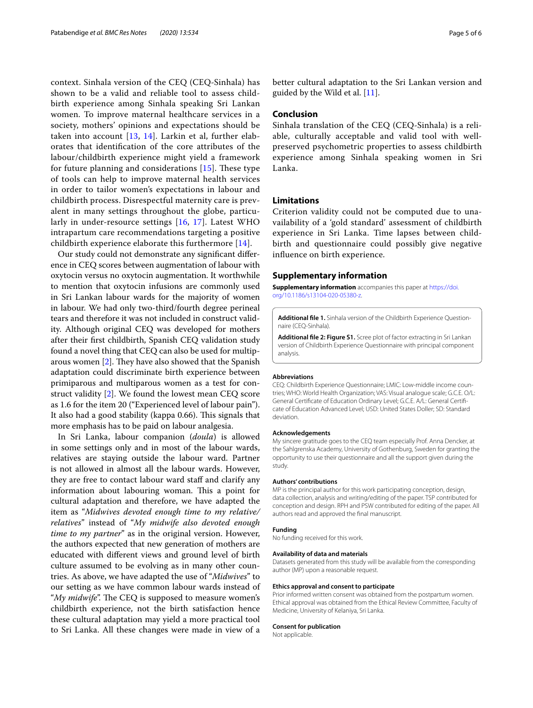context. Sinhala version of the CEQ (CEQ-Sinhala) has shown to be a valid and reliable tool to assess childbirth experience among Sinhala speaking Sri Lankan women. To improve maternal healthcare services in a society, mothers' opinions and expectations should be taken into account [\[13](#page-6-9), [14\]](#page-6-10). Larkin et al, further elaborates that identifcation of the core attributes of the labour/childbirth experience might yield a framework for future planning and considerations  $[15]$  $[15]$ . These type of tools can help to improve maternal health services in order to tailor women's expectations in labour and childbirth process. Disrespectful maternity care is prevalent in many settings throughout the globe, particularly in under-resource settings [\[16](#page-6-12), [17\]](#page-6-13). Latest WHO intrapartum care recommendations targeting a positive childbirth experience elaborate this furthermore [\[14](#page-6-10)].

Our study could not demonstrate any signifcant diference in CEQ scores between augmentation of labour with oxytocin versus no oxytocin augmentation. It worthwhile to mention that oxytocin infusions are commonly used in Sri Lankan labour wards for the majority of women in labour. We had only two-third/fourth degree perineal tears and therefore it was not included in construct validity. Although original CEQ was developed for mothers after their frst childbirth, Spanish CEQ validation study found a novel thing that CEQ can also be used for multiparous women  $[2]$  $[2]$ . They have also showed that the Spanish adaptation could discriminate birth experience between primiparous and multiparous women as a test for construct validity [\[2](#page-6-1)]. We found the lowest mean CEQ score as 1.6 for the item 20 ("Experienced level of labour pain"). It also had a good stability (kappa 0.66). This signals that more emphasis has to be paid on labour analgesia.

In Sri Lanka, labour companion (*doula*) is allowed in some settings only and in most of the labour wards, relatives are staying outside the labour ward. Partner is not allowed in almost all the labour wards. However, they are free to contact labour ward staff and clarify any information about labouring woman. This a point for cultural adaptation and therefore, we have adapted the item as "*Midwives devoted enough time to my relative/ relatives*" instead of "*My midwife also devoted enough time to my partner*" as in the original version. However, the authors expected that new generation of mothers are educated with diferent views and ground level of birth culture assumed to be evolving as in many other countries. As above, we have adapted the use of "*Midwives*" to our setting as we have common labour wards instead of "My midwife". The CEQ is supposed to measure women's childbirth experience, not the birth satisfaction hence these cultural adaptation may yield a more practical tool to Sri Lanka. All these changes were made in view of a

better cultural adaptation to the Sri Lankan version and guided by the Wild et al. [\[11](#page-6-7)].

#### **Conclusion**

Sinhala translation of the CEQ (CEQ-Sinhala) is a reliable, culturally acceptable and valid tool with wellpreserved psychometric properties to assess childbirth experience among Sinhala speaking women in Sri Lanka.

#### **Limitations**

Criterion validity could not be computed due to unavailability of a 'gold standard' assessment of childbirth experience in Sri Lanka. Time lapses between childbirth and questionnaire could possibly give negative infuence on birth experience.

#### **Supplementary information**

**Supplementary information** accompanies this paper at [https://doi.](https://doi.org/10.1186/s13104-020-05380-z) [org/10.1186/s13104-020-05380-z.](https://doi.org/10.1186/s13104-020-05380-z)

<span id="page-5-1"></span><span id="page-5-0"></span>**Additional fle 1.** Sinhala version of the Childbirth Experience Questionnaire (CEQ-Sinhala).

**Additional fle 2: Figure S1.** Scree plot of factor extracting in Sri Lankan version of Childbirth Experience Questionnaire with principal component analysis.

#### **Abbreviations**

CEQ: Childbirth Experience Questionnaire; LMIC: Low-middle income countries; WHO: World Health Organization; VAS: Visual analogue scale; G.C.E. O/L: General Certifcate of Education Ordinary Level; G.C.E. A/L: General Certifcate of Education Advanced Level; USD: United States Doller; SD: Standard deviation.

#### **Acknowledgements**

My sincere gratitude goes to the CEQ team especially Prof. Anna Dencker, at the Sahlgrenska Academy, University of Gothenburg, Sweden for granting the opportunity to use their questionnaire and all the support given during the study.

#### **Authors' contributions**

MP is the principal author for this work participating conception, design, data collection, analysis and writing/editing of the paper. TSP contributed for conception and design. RPH and PSW contributed for editing of the paper. All authors read and approved the fnal manuscript.

#### **Funding**

No funding received for this work.

#### **Availability of data and materials**

Datasets generated from this study will be available from the corresponding author (MP) upon a reasonable request.

#### **Ethics approval and consent to participate**

Prior informed written consent was obtained from the postpartum women. Ethical approval was obtained from the Ethical Review Committee, Faculty of Medicine, University of Kelaniya, Sri Lanka.

#### **Consent for publication**

Not applicable.